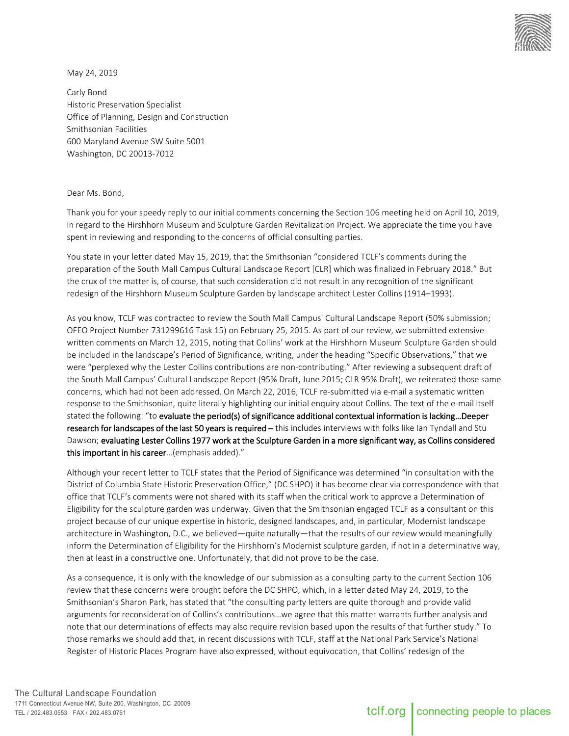

May 24, 2019

Carly Bond Historic Preservation Specialist Office of Planning, Design and Construction Smithsonian Facilities 600 Maryland Avenue SW Suite 5001 Washington, DC 20013-7012

## Dear Ms. Bond,

Thank you for your speedy reply to our initial comments concerning the Section 106 meeting held on April 10, 2019, in regard to the Hirshhorn Museum and Sculpture Garden Revitalization Project. We appreciate the time you have spent in reviewing and responding to the concerns of official consulting parties.

You state in your letter dated May 15, 2019, that the Smithsonian "considered TCLF's comments during the preparation of the South Mall Campus Cultural Landscape Report [CLR] which was finalized in February 2018." But the crux of the matter is, of course, that such consideration did not result in any recognition of the significant redesign of the Hirshhorn Museum Sculpture Garden by landscape architect Lester Collins (1914–1993).

As you know, TCLF was contracted to review the South Mall Campus' Cultural Landscape Report (50% submission; OFEO Project Number 731299616 Task 15) on February 25, 2015. As part of our review, we submitted extensive written comments on March 12, 2015, noting that Collins' work at the Hirshhorn Museum Sculpture Garden should be included in the landscape's Period of Significance, writing, under the heading "Specific Observations," that we were "perplexed why the Lester Collins contributions are non-contributing." After reviewing a subsequent draft of the South Mall Campus' Cultural Landscape Report (95% Draft, June 2015; CLR 95% Draft), we reiterated those same concerns, which had not been addressed. On March 22, 2016, TCLF re-submitted via e-mail a systematic written response to the Smithsonian, quite literally highlighting our initial enquiry about Collins. The text of the e-mail itself stated the following: "to evaluate the period(s) of significance additional contextual information is lacking…Deeper research for landscapes of the last 50 years is required - this includes interviews with folks like Ian Tyndall and Stu Dawson; evaluating Lester Collins 1977 work at the Sculpture Garden in a more significant way, as Collins considered this important in his career…(emphasis added)."

Although your recent letter to TCLF states that the Period of Significance was determined "in consultation with the District of Columbia State Historic Preservation Office," (DC SHPO) it has become clear via correspondence with that office that TCLF's comments were not shared with its staff when the critical work to approve a Determination of Eligibility for the sculpture garden was underway. Given that the Smithsonian engaged TCLF as a consultant on this project because of our unique expertise in historic, designed landscapes, and, in particular, Modernist landscape architecture in Washington, D.C., we believed—quite naturally—that the results of our review would meaningfully inform the Determination of Eligibility for the Hirshhorn's Modernist sculpture garden, if not in a determinative way, then at least in a constructive one. Unfortunately, that did not prove to be the case.

As a consequence, it is only with the knowledge of our submission as a consulting party to the current Section 106 review that these concerns were brought before the DC SHPO, which, in a letter dated May 24, 2019, to the Smithsonian's Sharon Park, has stated that "the consulting party letters are quite thorough and provide valid arguments for reconsideration of Collins's contributions…we agree that this matter warrants further analysis and note that our determinations of effects may also require revision based upon the results of that further study." To those remarks we should add that, in recent discussions with TCLF, staff at the National Park Service's National Register of Historic Places Program have also expressed, without equivocation, that Collins' redesign of the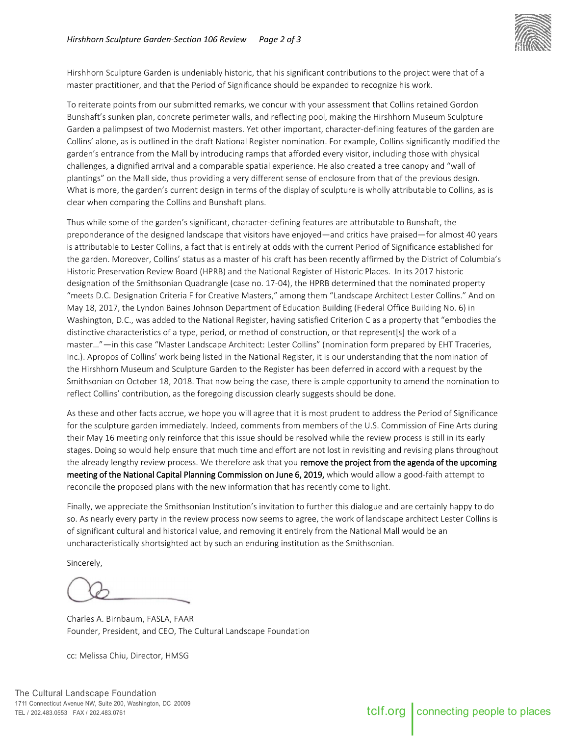

Hirshhorn Sculpture Garden is undeniably historic, that his significant contributions to the project were that of a master practitioner, and that the Period of Significance should be expanded to recognize his work.

To reiterate points from our submitted remarks, we concur with your assessment that Collins retained Gordon Bunshaft's sunken plan, concrete perimeter walls, and reflecting pool, making the Hirshhorn Museum Sculpture Garden a palimpsest of two Modernist masters. Yet other important, character-defining features of the garden are Collins' alone, as is outlined in the draft National Register nomination. For example, Collins significantly modified the garden's entrance from the Mall by introducing ramps that afforded every visitor, including those with physical challenges, a dignified arrival and a comparable spatial experience. He also created a tree canopy and "wall of plantings" on the Mall side, thus providing a very different sense of enclosure from that of the previous design. What is more, the garden's current design in terms of the display of sculpture is wholly attributable to Collins, as is clear when comparing the Collins and Bunshaft plans.

Thus while some of the garden's significant, character-defining features are attributable to Bunshaft, the preponderance of the designed landscape that visitors have enjoyed—and critics have praised—for almost 40 years is attributable to Lester Collins, a fact that is entirely at odds with the current Period of Significance established for the garden. Moreover, Collins' status as a master of his craft has been recently affirmed by the District of Columbia's Historic Preservation Review Board (HPRB) and the National Register of Historic Places. In its 2017 historic designation of the Smithsonian Quadrangle (case no. 17-04), the HPRB determined that the nominated property "meets D.C. Designation Criteria F for Creative Masters," among them "Landscape Architect Lester Collins." And on May 18, 2017, the Lyndon Baines Johnson Department of Education Building (Federal Office Building No. 6) in Washington, D.C., was added to the National Register, having satisfied Criterion C as a property that "embodies the distinctive characteristics of a type, period, or method of construction, or that represent[s] the work of a master…"—in this case "Master Landscape Architect: Lester Collins" (nomination form prepared by EHT Traceries, Inc.). Apropos of Collins' work being listed in the National Register, it is our understanding that the nomination of the Hirshhorn Museum and Sculpture Garden to the Register has been deferred in accord with a request by the Smithsonian on October 18, 2018. That now being the case, there is ample opportunity to amend the nomination to reflect Collins' contribution, as the foregoing discussion clearly suggests should be done.

As these and other facts accrue, we hope you will agree that it is most prudent to address the Period of Significance for the sculpture garden immediately. Indeed, comments from members of the U.S. Commission of Fine Arts during their May 16 meeting only reinforce that this issue should be resolved while the review process is still in its early stages. Doing so would help ensure that much time and effort are not lost in revisiting and revising plans throughout the already lengthy review process. We therefore ask that you remove the project from the agenda of the upcoming meeting of the National Capital Planning Commission on June 6, 2019, which would allow a good-faith attempt to reconcile the proposed plans with the new information that has recently come to light.

Finally, we appreciate the Smithsonian Institution's invitation to further this dialogue and are certainly happy to do so. As nearly every party in the review process now seems to agree, the work of landscape architect Lester Collins is of significant cultural and historical value, and removing it entirely from the National Mall would be an uncharacteristically shortsighted act by such an enduring institution as the Smithsonian.

Sincerely,

Charles A. Birnbaum, FASLA, FAAR Founder, President, and CEO, The Cultural Landscape Foundation

cc: Melissa Chiu, Director, HMSG